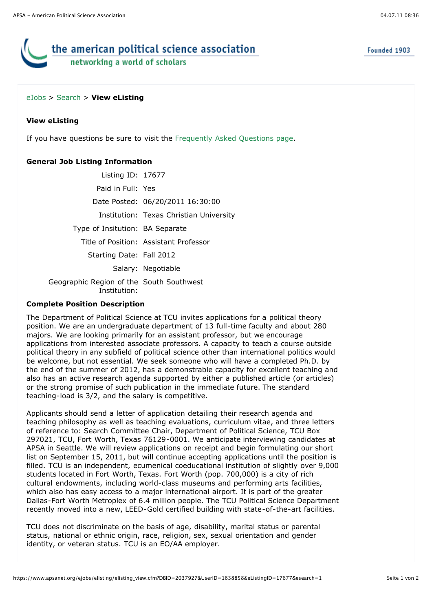Founded 1903

# the american political science association networking a world of scholars

## [eJobs](https://www.apsanet.org/eJobs/startpage.cfm) > [Search](javascript:history.go(-1);) > **View eListing**

## **View eListing**

If you have questions be sure to visit the [Frequently Asked Questions page](javascript:void(0)).

## **General Job Listing Information**

| Listing ID: 17677                                        |                                         |
|----------------------------------------------------------|-----------------------------------------|
| Paid in Full: Yes                                        |                                         |
|                                                          | Date Posted: 06/20/2011 16:30:00        |
|                                                          | Institution: Texas Christian University |
| Type of Insitution: BA Separate                          |                                         |
|                                                          | Title of Position: Assistant Professor  |
| Starting Date: Fall 2012                                 |                                         |
|                                                          | Salary: Negotiable                      |
| Geographic Region of the South Southwest<br>Institution: |                                         |

## **Complete Position Description**

The Department of Political Science at TCU invites applications for a political theory position. We are an undergraduate department of 13 full-time faculty and about 280 majors. We are looking primarily for an assistant professor, but we encourage applications from interested associate professors. A capacity to teach a course outside political theory in any subfield of political science other than international politics would be welcome, but not essential. We seek someone who will have a completed Ph.D. by the end of the summer of 2012, has a demonstrable capacity for excellent teaching and also has an active research agenda supported by either a published article (or articles) or the strong promise of such publication in the immediate future. The standard teaching-load is 3/2, and the salary is competitive.

Applicants should send a letter of application detailing their research agenda and teaching philosophy as well as teaching evaluations, curriculum vitae, and three letters of reference to: Search Committee Chair, Department of Political Science, TCU Box 297021, TCU, Fort Worth, Texas 76129-0001. We anticipate interviewing candidates at APSA in Seattle. We will review applications on receipt and begin formulating our short list on September 15, 2011, but will continue accepting applications until the position is filled. TCU is an independent, ecumenical coeducational institution of slightly over 9,000 students located in Fort Worth, Texas. Fort Worth (pop. 700,000) is a city of rich cultural endowments, including world-class museums and performing arts facilities, which also has easy access to a major international airport. It is part of the greater Dallas-Fort Worth Metroplex of 6.4 million people. The TCU Political Science Department recently moved into a new, LEED-Gold certified building with state-of-the-art facilities.

TCU does not discriminate on the basis of age, disability, marital status or parental status, national or ethnic origin, race, religion, sex, sexual orientation and gender identity, or veteran status. TCU is an EO/AA employer.